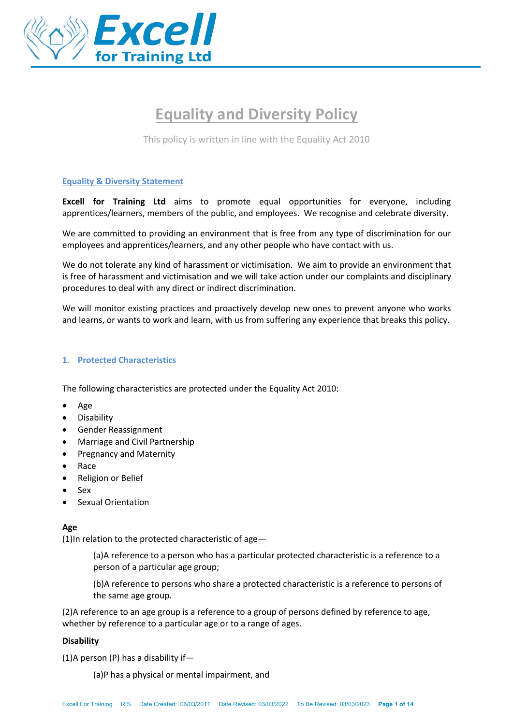

# **Equality and Diversity Policy**

This policy is written in line with the Equality Act 2010

# **Equality & Diversity Statement**

**Excell for Training Ltd** aims to promote equal opportunities for everyone, including apprentices/learners, members of the public, and employees. We recognise and celebrate diversity.

We are committed to providing an environment that is free from any type of discrimination for our employees and apprentices/learners, and any other people who have contact with us.

We do not tolerate any kind of harassment or victimisation. We aim to provide an environment that is free of harassment and victimisation and we will take action under our complaints and disciplinary procedures to deal with any direct or indirect discrimination.

We will monitor existing practices and proactively develop new ones to prevent anyone who works and learns, or wants to work and learn, with us from suffering any experience that breaks this policy.

# **1. Protected Characteristics**

The following characteristics are protected under the Equality Act 2010:

- Age
- **Disability**
- Gender Reassignment
- Marriage and Civil Partnership
- Pregnancy and Maternity
- Race
- Religion or Belief
- Sex
- Sexual Orientation

# **Age**

(1)In relation to the protected characteristic of age—

(a)A reference to a person who has a particular protected characteristic is a reference to a person of a particular age group;

(b)A reference to persons who share a protected characteristic is a reference to persons of the same age group.

(2)A reference to an age group is a reference to a group of persons defined by reference to age, whether by reference to a particular age or to a range of ages.

### **Disability**

(1)A person (P) has a disability if—

(a)P has a physical or mental impairment, and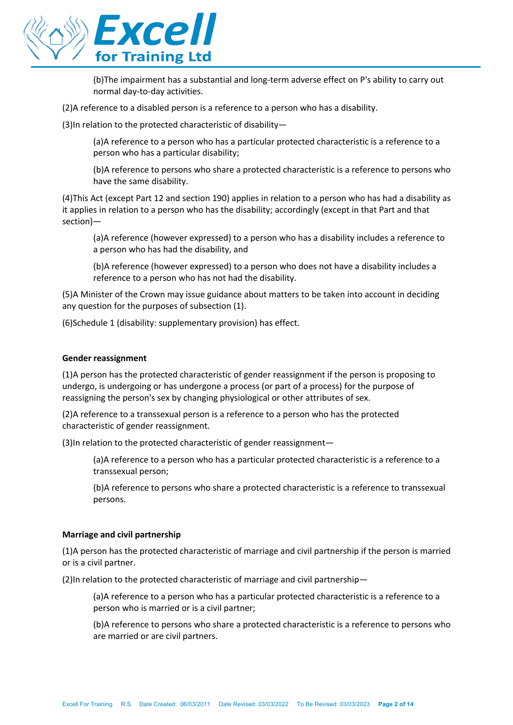

(b)The impairment has a substantial and long-term adverse effect on P's ability to carry out normal day-to-day activities.

(2)A reference to a disabled person is a reference to a person who has a disability.

(3)In relation to the protected characteristic of disability—

(a)A reference to a person who has a particular protected characteristic is a reference to a person who has a particular disability;

(b)A reference to persons who share a protected characteristic is a reference to persons who have the same disability.

(4)This Act (except Part 12 and section 190) applies in relation to a person who has had a disability as it applies in relation to a person who has the disability; accordingly (except in that Part and that section)—

(a)A reference (however expressed) to a person who has a disability includes a reference to a person who has had the disability, and

(b)A reference (however expressed) to a person who does not have a disability includes a reference to a person who has not had the disability.

(5)A Minister of the Crown may issue guidance about matters to be taken into account in deciding any question for the purposes of subsection (1).

(6)Schedule 1 (disability: supplementary provision) has effect.

### **Gender reassignment**

(1)A person has the protected characteristic of gender reassignment if the person is proposing to undergo, is undergoing or has undergone a process (or part of a process) for the purpose of reassigning the person's sex by changing physiological or other attributes of sex.

(2)A reference to a transsexual person is a reference to a person who has the protected characteristic of gender reassignment.

(3)In relation to the protected characteristic of gender reassignment—

(a)A reference to a person who has a particular protected characteristic is a reference to a transsexual person;

(b)A reference to persons who share a protected characteristic is a reference to transsexual persons.

### **Marriage and civil partnership**

(1)A person has the protected characteristic of marriage and civil partnership if the person is married or is a civil partner.

(2)In relation to the protected characteristic of marriage and civil partnership—

(a)A reference to a person who has a particular protected characteristic is a reference to a person who is married or is a civil partner;

(b)A reference to persons who share a protected characteristic is a reference to persons who are married or are civil partners.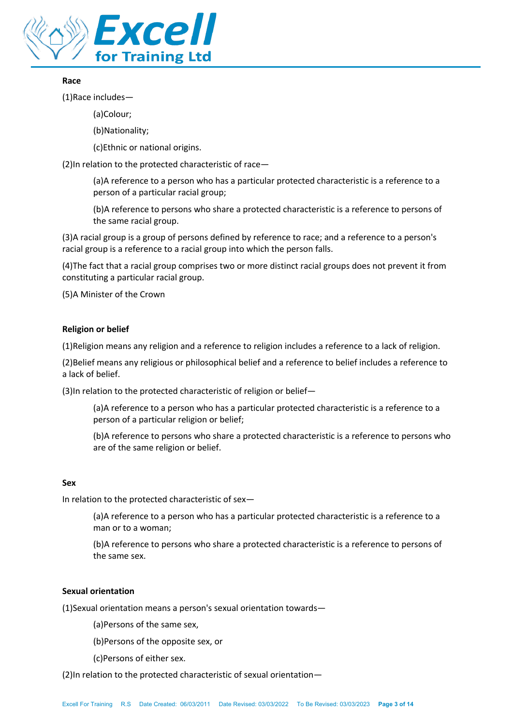

# **Race**

(1)Race includes—

(a)Colour;

(b)Nationality;

(c)Ethnic or national origins.

(2)In relation to the protected characteristic of race—

(a)A reference to a person who has a particular protected characteristic is a reference to a person of a particular racial group;

(b)A reference to persons who share a protected characteristic is a reference to persons of the same racial group.

(3)A racial group is a group of persons defined by reference to race; and a reference to a person's racial group is a reference to a racial group into which the person falls.

(4)The fact that a racial group comprises two or more distinct racial groups does not prevent it from constituting a particular racial group.

(5)A Minister of the Crown

## **Religion or belief**

(1)Religion means any religion and a reference to religion includes a reference to a lack of religion.

(2)Belief means any religious or philosophical belief and a reference to belief includes a reference to a lack of belief.

(3)In relation to the protected characteristic of religion or belief—

(a)A reference to a person who has a particular protected characteristic is a reference to a person of a particular religion or belief;

(b)A reference to persons who share a protected characteristic is a reference to persons who are of the same religion or belief.

### **Sex**

In relation to the protected characteristic of sex—

(a)A reference to a person who has a particular protected characteristic is a reference to a man or to a woman;

(b)A reference to persons who share a protected characteristic is a reference to persons of the same sex.

# **Sexual orientation**

(1)Sexual orientation means a person's sexual orientation towards—

(a)Persons of the same sex,

(b)Persons of the opposite sex, or

(c)Persons of either sex.

(2)In relation to the protected characteristic of sexual orientation—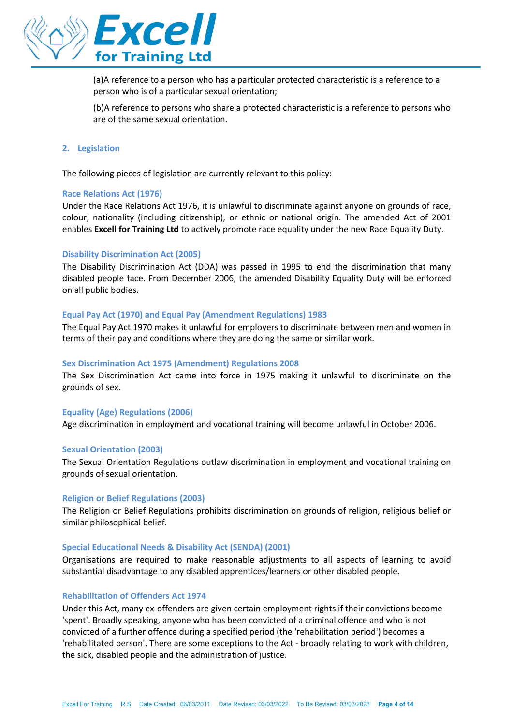

(a)A reference to a person who has a particular protected characteristic is a reference to a person who is of a particular sexual orientation;

(b)A reference to persons who share a protected characteristic is a reference to persons who are of the same sexual orientation.

### **2. Legislation**

The following pieces of legislation are currently relevant to this policy:

### **Race Relations Act (1976)**

Under the Race Relations Act 1976, it is unlawful to discriminate against anyone on grounds of race, colour, nationality (including citizenship), or ethnic or national origin. The amended Act of 2001 enables **Excell for Training Ltd** to actively promote race equality under the new Race Equality Duty.

### **Disability Discrimination Act (2005)**

The Disability Discrimination Act (DDA) was passed in 1995 to end the discrimination that many disabled people face. From December 2006, the amended Disability Equality Duty will be enforced on all public bodies.

### **Equal Pay Act (1970) and Equal Pay (Amendment Regulations) 1983**

The Equal Pay Act 1970 makes it unlawful for employers to discriminate between men and women in terms of their pay and conditions where they are doing the same or similar work.

#### **Sex Discrimination Act 1975 (Amendment) Regulations 2008**

The Sex Discrimination Act came into force in 1975 making it unlawful to discriminate on the grounds of sex.

### **Equality (Age) Regulations (2006)**

Age discrimination in employment and vocational training will become unlawful in October 2006.

#### **Sexual Orientation (2003)**

The Sexual Orientation Regulations outlaw discrimination in employment and vocational training on grounds of sexual orientation.

#### **Religion or Belief Regulations (2003)**

The Religion or Belief Regulations prohibits discrimination on grounds of religion, religious belief or similar philosophical belief.

#### **Special Educational Needs & Disability Act (SENDA) (2001)**

Organisations are required to make reasonable adjustments to all aspects of learning to avoid substantial disadvantage to any disabled apprentices/learners or other disabled people.

#### **Rehabilitation of Offenders Act 1974**

Under this Act, many ex-offenders are given certain employment rights if their convictions become 'spent'. Broadly speaking, anyone who has been convicted of a criminal offence and who is not convicted of a further offence during a specified period (the 'rehabilitation period') becomes a 'rehabilitated person'. There are some exceptions to the Act - broadly relating to work with children, the sick, disabled people and the administration of justice.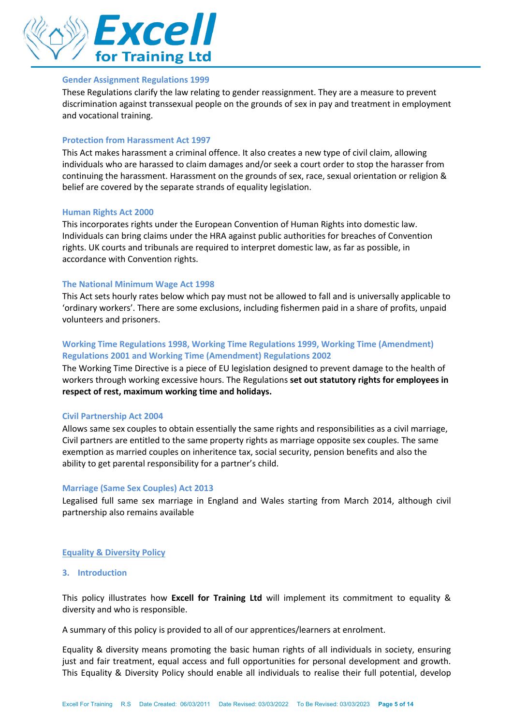

### **Gender Assignment Regulations 1999**

These Regulations clarify the law relating to gender reassignment. They are a measure to prevent discrimination against transsexual people on the grounds of sex in pay and treatment in employment and vocational training.

### **Protection from Harassment Act 1997**

This Act makes harassment a criminal offence. It also creates a new type of civil claim, allowing individuals who are harassed to claim damages and/or seek a court order to stop the harasser from continuing the harassment. Harassment on the grounds of sex, race, sexual orientation or religion & belief are covered by the separate strands of equality legislation.

#### **Human Rights Act 2000**

This incorporates rights under the European Convention of Human Rights into domestic law. Individuals can bring claims under the HRA against public authorities for breaches of Convention rights. UK courts and tribunals are required to interpret domestic law, as far as possible, in accordance with Convention rights.

### **The National Minimum Wage Act 1998**

This Act sets hourly rates below which pay must not be allowed to fall and is universally applicable to 'ordinary workers'. There are some exclusions, including fishermen paid in a share of profits, unpaid volunteers and prisoners.

# **Working Time Regulations 1998, Working Time Regulations 1999, Working Time (Amendment) Regulations 2001 and Working Time (Amendment) Regulations 2002**

The Working Time Directive is a piece of EU legislation designed to prevent damage to the health of workers through working excessive hours. The Regulations **set out statutory rights for employees in respect of rest, maximum working time and holidays.**

#### **Civil Partnership Act 2004**

Allows same sex couples to obtain essentially the same rights and responsibilities as a civil marriage, Civil partners are entitled to the same property rights as marriage opposite sex couples. The same exemption as married couples on inheritence tax, social security, pension benefits and also the ability to get parental responsibility for a partner's child.

#### **Marriage (Same Sex Couples) Act 2013**

Legalised full same sex marriage in England and Wales starting from March 2014, although civil partnership also remains available

### **Equality & Diversity Policy**

### **3. Introduction**

This policy illustrates how **Excell for Training Ltd** will implement its commitment to equality & diversity and who is responsible.

A summary of this policy is provided to all of our apprentices/learners at enrolment.

Equality & diversity means promoting the basic human rights of all individuals in society, ensuring just and fair treatment, equal access and full opportunities for personal development and growth. This Equality & Diversity Policy should enable all individuals to realise their full potential, develop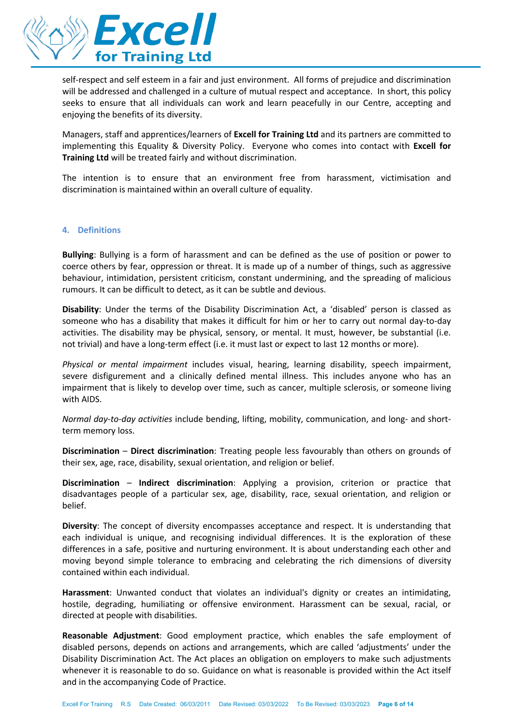

self-respect and self esteem in a fair and just environment. All forms of prejudice and discrimination will be addressed and challenged in a culture of mutual respect and acceptance. In short, this policy seeks to ensure that all individuals can work and learn peacefully in our Centre, accepting and enjoying the benefits of its diversity.

Managers, staff and apprentices/learners of **Excell for Training Ltd** and its partners are committed to implementing this Equality & Diversity Policy. Everyone who comes into contact with **Excell for Training Ltd** will be treated fairly and without discrimination.

The intention is to ensure that an environment free from harassment, victimisation and discrimination is maintained within an overall culture of equality.

### **4. Definitions**

**Bullying**: Bullying is a form of harassment and can be defined as the use of position or power to coerce others by fear, oppression or threat. It is made up of a number of things, such as aggressive behaviour, intimidation, persistent criticism, constant undermining, and the spreading of malicious rumours. It can be difficult to detect, as it can be subtle and devious.

**Disability**: Under the terms of the Disability Discrimination Act, a 'disabled' person is classed as someone who has a disability that makes it difficult for him or her to carry out normal day-to-day activities. The disability may be physical, sensory, or mental. It must, however, be substantial (i.e. not trivial) and have a long-term effect (i.e. it must last or expect to last 12 months or more).

*Physical or mental impairment* includes visual, hearing, learning disability, speech impairment, severe disfigurement and a clinically defined mental illness. This includes anyone who has an impairment that is likely to develop over time, such as cancer, multiple sclerosis, or someone living with AIDS.

*Normal day-to-day activities* include bending, lifting, mobility, communication, and long- and shortterm memory loss.

**Discrimination** – **Direct discrimination**: Treating people less favourably than others on grounds of their sex, age, race, disability, sexual orientation, and religion or belief.

**Discrimination** – **Indirect discrimination**: Applying a provision, criterion or practice that disadvantages people of a particular sex, age, disability, race, sexual orientation, and religion or belief.

**Diversity**: The concept of diversity encompasses acceptance and respect. It is understanding that each individual is unique, and recognising individual differences. It is the exploration of these differences in a safe, positive and nurturing environment. It is about understanding each other and moving beyond simple tolerance to embracing and celebrating the rich dimensions of diversity contained within each individual.

**Harassment**: Unwanted conduct that violates an individual's dignity or creates an intimidating, hostile, degrading, humiliating or offensive environment. Harassment can be sexual, racial, or directed at people with disabilities.

**Reasonable Adjustment**: Good employment practice, which enables the safe employment of disabled persons, depends on actions and arrangements, which are called 'adjustments' under the Disability Discrimination Act. The Act places an obligation on employers to make such adjustments whenever it is reasonable to do so. Guidance on what is reasonable is provided within the Act itself and in the accompanying Code of Practice.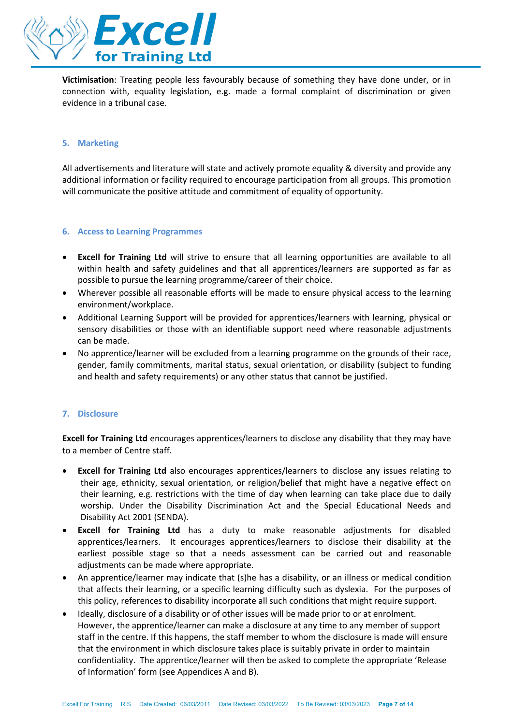

**Victimisation**: Treating people less favourably because of something they have done under, or in connection with, equality legislation, e.g. made a formal complaint of discrimination or given evidence in a tribunal case.

# **5. Marketing**

All advertisements and literature will state and actively promote equality & diversity and provide any additional information or facility required to encourage participation from all groups. This promotion will communicate the positive attitude and commitment of equality of opportunity.

### **6. Access to Learning Programmes**

- **Excell for Training Ltd** will strive to ensure that all learning opportunities are available to all within health and safety guidelines and that all apprentices/learners are supported as far as possible to pursue the learning programme/career of their choice.
- Wherever possible all reasonable efforts will be made to ensure physical access to the learning environment/workplace.
- Additional Learning Support will be provided for apprentices/learners with learning, physical or sensory disabilities or those with an identifiable support need where reasonable adjustments can be made.
- No apprentice/learner will be excluded from a learning programme on the grounds of their race, gender, family commitments, marital status, sexual orientation, or disability (subject to funding and health and safety requirements) or any other status that cannot be justified.

# **7. Disclosure**

**Excell for Training Ltd** encourages apprentices/learners to disclose any disability that they may have to a member of Centre staff.

- **Excell for Training Ltd** also encourages apprentices/learners to disclose any issues relating to their age, ethnicity, sexual orientation, or religion/belief that might have a negative effect on their learning, e.g. restrictions with the time of day when learning can take place due to daily worship. Under the Disability Discrimination Act and the Special Educational Needs and Disability Act 2001 (SENDA).
- **Excell for Training Ltd** has a duty to make reasonable adjustments for disabled apprentices/learners. It encourages apprentices/learners to disclose their disability at the earliest possible stage so that a needs assessment can be carried out and reasonable adjustments can be made where appropriate.
- An apprentice/learner may indicate that (s)he has a disability, or an illness or medical condition that affects their learning, or a specific learning difficulty such as dyslexia. For the purposes of this policy, references to disability incorporate all such conditions that might require support.
- Ideally, disclosure of a disability or of other issues will be made prior to or at enrolment. However, the apprentice/learner can make a disclosure at any time to any member of support staff in the centre. If this happens, the staff member to whom the disclosure is made will ensure that the environment in which disclosure takes place is suitably private in order to maintain confidentiality. The apprentice/learner will then be asked to complete the appropriate 'Release of Information' form (see Appendices A and B).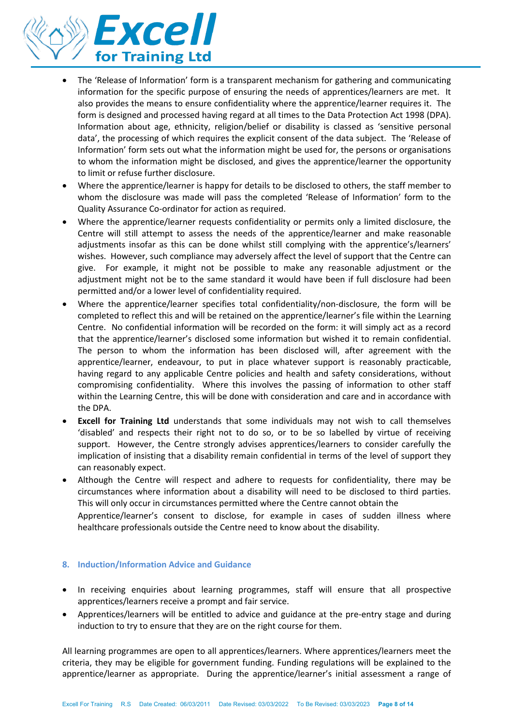

- The 'Release of Information' form is a transparent mechanism for gathering and communicating information for the specific purpose of ensuring the needs of apprentices/learners are met. It also provides the means to ensure confidentiality where the apprentice/learner requires it. The form is designed and processed having regard at all times to the Data Protection Act 1998 (DPA). Information about age, ethnicity, religion/belief or disability is classed as 'sensitive personal data', the processing of which requires the explicit consent of the data subject. The 'Release of Information' form sets out what the information might be used for, the persons or organisations to whom the information might be disclosed, and gives the apprentice/learner the opportunity to limit or refuse further disclosure.
- Where the apprentice/learner is happy for details to be disclosed to others, the staff member to whom the disclosure was made will pass the completed 'Release of Information' form to the Quality Assurance Co-ordinator for action as required.
- Where the apprentice/learner requests confidentiality or permits only a limited disclosure, the Centre will still attempt to assess the needs of the apprentice/learner and make reasonable adjustments insofar as this can be done whilst still complying with the apprentice's/learners' wishes. However, such compliance may adversely affect the level of support that the Centre can give. For example, it might not be possible to make any reasonable adjustment or the adjustment might not be to the same standard it would have been if full disclosure had been permitted and/or a lower level of confidentiality required.
- Where the apprentice/learner specifies total confidentiality/non-disclosure, the form will be completed to reflect this and will be retained on the apprentice/learner's file within the Learning Centre. No confidential information will be recorded on the form: it will simply act as a record that the apprentice/learner's disclosed some information but wished it to remain confidential. The person to whom the information has been disclosed will, after agreement with the apprentice/learner, endeavour, to put in place whatever support is reasonably practicable, having regard to any applicable Centre policies and health and safety considerations, without compromising confidentiality. Where this involves the passing of information to other staff within the Learning Centre, this will be done with consideration and care and in accordance with the DPA.
- **Excell for Training Ltd** understands that some individuals may not wish to call themselves 'disabled' and respects their right not to do so, or to be so labelled by virtue of receiving support. However, the Centre strongly advises apprentices/learners to consider carefully the implication of insisting that a disability remain confidential in terms of the level of support they can reasonably expect.
- Although the Centre will respect and adhere to requests for confidentiality, there may be circumstances where information about a disability will need to be disclosed to third parties. This will only occur in circumstances permitted where the Centre cannot obtain the

Apprentice/learner's consent to disclose, for example in cases of sudden illness where healthcare professionals outside the Centre need to know about the disability.

# **8. Induction/Information Advice and Guidance**

- In receiving enquiries about learning programmes, staff will ensure that all prospective apprentices/learners receive a prompt and fair service.
- Apprentices/learners will be entitled to advice and guidance at the pre-entry stage and during induction to try to ensure that they are on the right course for them.

All learning programmes are open to all apprentices/learners. Where apprentices/learners meet the criteria, they may be eligible for government funding. Funding regulations will be explained to the apprentice/learner as appropriate. During the apprentice/learner's initial assessment a range of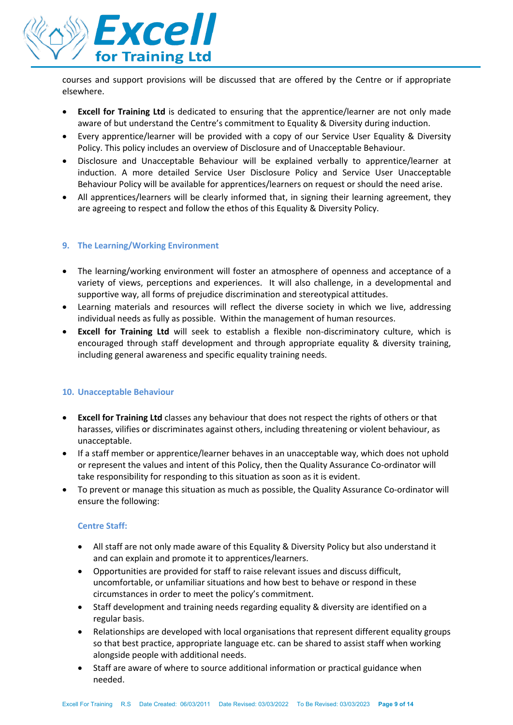

courses and support provisions will be discussed that are offered by the Centre or if appropriate elsewhere.

- **Excell for Training Ltd** is dedicated to ensuring that the apprentice/learner are not only made aware of but understand the Centre's commitment to Equality & Diversity during induction.
- Every apprentice/learner will be provided with a copy of our Service User Equality & Diversity Policy. This policy includes an overview of Disclosure and of Unacceptable Behaviour.
- Disclosure and Unacceptable Behaviour will be explained verbally to apprentice/learner at induction. A more detailed Service User Disclosure Policy and Service User Unacceptable Behaviour Policy will be available for apprentices/learners on request or should the need arise.
- All apprentices/learners will be clearly informed that, in signing their learning agreement, they are agreeing to respect and follow the ethos of this Equality & Diversity Policy.

# **9. The Learning/Working Environment**

- The learning/working environment will foster an atmosphere of openness and acceptance of a variety of views, perceptions and experiences. It will also challenge, in a developmental and supportive way, all forms of prejudice discrimination and stereotypical attitudes.
- Learning materials and resources will reflect the diverse society in which we live, addressing individual needs as fully as possible. Within the management of human resources.
- **Excell for Training Ltd** will seek to establish a flexible non-discriminatory culture, which is encouraged through staff development and through appropriate equality & diversity training, including general awareness and specific equality training needs.

# **10. Unacceptable Behaviour**

- **Excell for Training Ltd** classes any behaviour that does not respect the rights of others or that harasses, vilifies or discriminates against others, including threatening or violent behaviour, as unacceptable.
- If a staff member or apprentice/learner behaves in an unacceptable way, which does not uphold or represent the values and intent of this Policy, then the Quality Assurance Co-ordinator will take responsibility for responding to this situation as soon as it is evident.
- To prevent or manage this situation as much as possible, the Quality Assurance Co-ordinator will ensure the following:

# **Centre Staff:**

- All staff are not only made aware of this Equality & Diversity Policy but also understand it and can explain and promote it to apprentices/learners.
- Opportunities are provided for staff to raise relevant issues and discuss difficult, uncomfortable, or unfamiliar situations and how best to behave or respond in these circumstances in order to meet the policy's commitment.
- Staff development and training needs regarding equality & diversity are identified on a regular basis.
- Relationships are developed with local organisations that represent different equality groups so that best practice, appropriate language etc. can be shared to assist staff when working alongside people with additional needs.
- Staff are aware of where to source additional information or practical guidance when needed.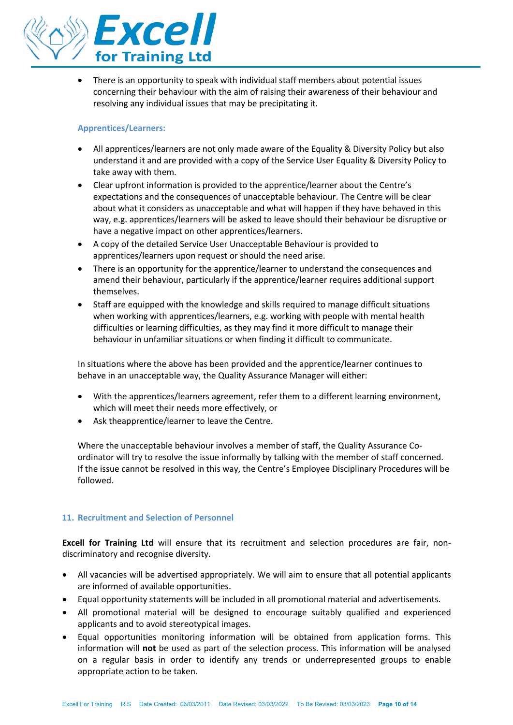

• There is an opportunity to speak with individual staff members about potential issues concerning their behaviour with the aim of raising their awareness of their behaviour and resolving any individual issues that may be precipitating it.

# **Apprentices/Learners:**

- All apprentices/learners are not only made aware of the Equality & Diversity Policy but also understand it and are provided with a copy of the Service User Equality & Diversity Policy to take away with them.
- Clear upfront information is provided to the apprentice/learner about the Centre's expectations and the consequences of unacceptable behaviour. The Centre will be clear about what it considers as unacceptable and what will happen if they have behaved in this way, e.g. apprentices/learners will be asked to leave should their behaviour be disruptive or have a negative impact on other apprentices/learners.
- A copy of the detailed Service User Unacceptable Behaviour is provided to apprentices/learners upon request or should the need arise.
- There is an opportunity for the apprentice/learner to understand the consequences and amend their behaviour, particularly if the apprentice/learner requires additional support themselves.
- Staff are equipped with the knowledge and skills required to manage difficult situations when working with apprentices/learners, e.g. working with people with mental health difficulties or learning difficulties, as they may find it more difficult to manage their behaviour in unfamiliar situations or when finding it difficult to communicate.

In situations where the above has been provided and the apprentice/learner continues to behave in an unacceptable way, the Quality Assurance Manager will either:

- With the apprentices/learners agreement, refer them to a different learning environment, which will meet their needs more effectively, or
- Ask theapprentice/learner to leave the Centre.

Where the unacceptable behaviour involves a member of staff, the Quality Assurance Coordinator will try to resolve the issue informally by talking with the member of staff concerned. If the issue cannot be resolved in this way, the Centre's Employee Disciplinary Procedures will be followed.

# **11. Recruitment and Selection of Personnel**

**Excell for Training Ltd** will ensure that its recruitment and selection procedures are fair, nondiscriminatory and recognise diversity.

- All vacancies will be advertised appropriately. We will aim to ensure that all potential applicants are informed of available opportunities.
- Equal opportunity statements will be included in all promotional material and advertisements.
- All promotional material will be designed to encourage suitably qualified and experienced applicants and to avoid stereotypical images.
- Equal opportunities monitoring information will be obtained from application forms. This information will **not** be used as part of the selection process. This information will be analysed on a regular basis in order to identify any trends or underrepresented groups to enable appropriate action to be taken.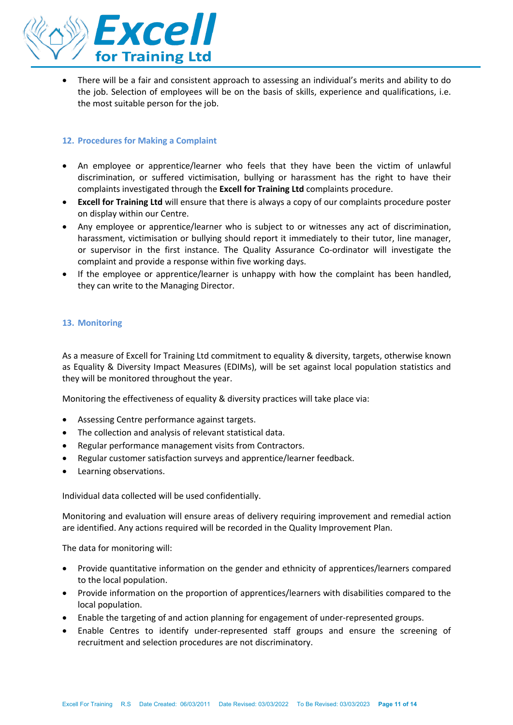

• There will be a fair and consistent approach to assessing an individual's merits and ability to do the job. Selection of employees will be on the basis of skills, experience and qualifications, i.e. the most suitable person for the job.

# **12. Procedures for Making a Complaint**

- An employee or apprentice/learner who feels that they have been the victim of unlawful discrimination, or suffered victimisation, bullying or harassment has the right to have their complaints investigated through the **Excell for Training Ltd** complaints procedure.
- **Excell for Training Ltd** will ensure that there is always a copy of our complaints procedure poster on display within our Centre.
- Any employee or apprentice/learner who is subject to or witnesses any act of discrimination, harassment, victimisation or bullying should report it immediately to their tutor, line manager, or supervisor in the first instance. The Quality Assurance Co-ordinator will investigate the complaint and provide a response within five working days.
- If the employee or apprentice/learner is unhappy with how the complaint has been handled, they can write to the Managing Director.

# **13. Monitoring**

As a measure of Excell for Training Ltd commitment to equality & diversity, targets, otherwise known as Equality & Diversity Impact Measures (EDIMs), will be set against local population statistics and they will be monitored throughout the year.

Monitoring the effectiveness of equality & diversity practices will take place via:

- Assessing Centre performance against targets.
- The collection and analysis of relevant statistical data.
- Regular performance management visits from Contractors.
- Regular customer satisfaction surveys and apprentice/learner feedback.
- Learning observations.

Individual data collected will be used confidentially.

Monitoring and evaluation will ensure areas of delivery requiring improvement and remedial action are identified. Any actions required will be recorded in the Quality Improvement Plan.

The data for monitoring will:

- Provide quantitative information on the gender and ethnicity of apprentices/learners compared to the local population.
- Provide information on the proportion of apprentices/learners with disabilities compared to the local population.
- Enable the targeting of and action planning for engagement of under-represented groups.
- Enable Centres to identify under-represented staff groups and ensure the screening of recruitment and selection procedures are not discriminatory.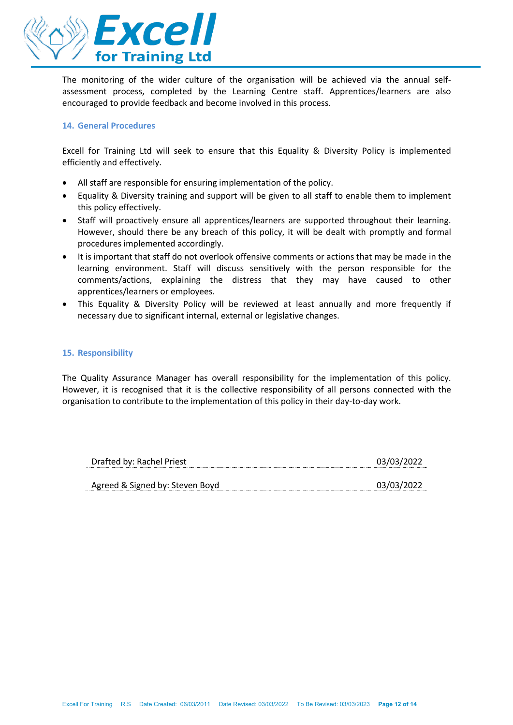

The monitoring of the wider culture of the organisation will be achieved via the annual selfassessment process, completed by the Learning Centre staff. Apprentices/learners are also encouraged to provide feedback and become involved in this process.

# **14. General Procedures**

Excell for Training Ltd will seek to ensure that this Equality & Diversity Policy is implemented efficiently and effectively.

- All staff are responsible for ensuring implementation of the policy.
- Equality & Diversity training and support will be given to all staff to enable them to implement this policy effectively.
- Staff will proactively ensure all apprentices/learners are supported throughout their learning. However, should there be any breach of this policy, it will be dealt with promptly and formal procedures implemented accordingly.
- It is important that staff do not overlook offensive comments or actions that may be made in the learning environment. Staff will discuss sensitively with the person responsible for the comments/actions, explaining the distress that they may have caused to other apprentices/learners or employees.
- This Equality & Diversity Policy will be reviewed at least annually and more frequently if necessary due to significant internal, external or legislative changes.

# **15. Responsibility**

The Quality Assurance Manager has overall responsibility for the implementation of this policy. However, it is recognised that it is the collective responsibility of all persons connected with the organisation to contribute to the implementation of this policy in their day-to-day work.

| Drafted by: Rachel Priest       | 03/03/2022 |
|---------------------------------|------------|
|                                 |            |
| Agreed & Signed by: Steven Boyd | 03/03/2022 |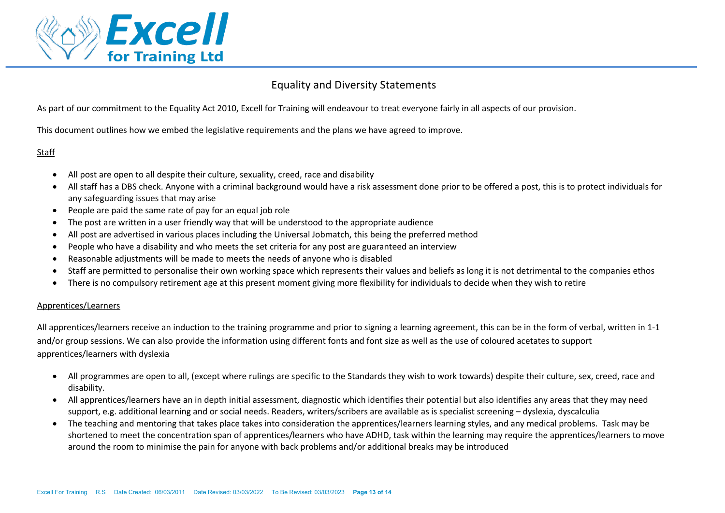

# Equality and Diversity Statements

As part of our commitment to the Equality Act 2010, Excell for Training will endeavour to treat everyone fairly in all aspects of our provision.

This document outlines how we embed the legislative requirements and the plans we have agreed to improve.

# Staff

- All post are open to all despite their culture, sexuality, creed, race and disability
- All staff has a DBS check. Anyone with a criminal background would have a risk assessment done prior to be offered a post, this is to protect individuals for any safeguarding issues that may arise
- People are paid the same rate of pay for an equal job role
- The post are written in a user friendly way that will be understood to the appropriate audience
- All post are advertised in various places including the Universal Jobmatch, this being the preferred method
- People who have a disability and who meets the set criteria for any post are guaranteed an interview
- Reasonable adjustments will be made to meets the needs of anyone who is disabled
- Staff are permitted to personalise their own working space which represents their values and beliefs as long it is not detrimental to the companies ethos
- There is no compulsory retirement age at this present moment giving more flexibility for individuals to decide when they wish to retire

# Apprentices/Learners

All apprentices/learners receive an induction to the training programme and prior to signing a learning agreement, this can be in the form of verbal, written in 1-1 and/or group sessions. We can also provide the information using different fonts and font size as well as the use of coloured acetates to support apprentices/learners with dyslexia

- All programmes are open to all, (except where rulings are specific to the Standards they wish to work towards) despite their culture, sex, creed, race and disability.
- All apprentices/learners have an in depth initial assessment, diagnostic which identifies their potential but also identifies any areas that they may need support, e.g. additional learning and or social needs. Readers, writers/scribers are available as is specialist screening – dyslexia, dyscalculia
- The teaching and mentoring that takes place takes into consideration the apprentices/learners learning styles, and any medical problems. Task may be shortened to meet the concentration span of apprentices/learners who have ADHD, task within the learning may require the apprentices/learners to move around the room to minimise the pain for anyone with back problems and/or additional breaks may be introduced